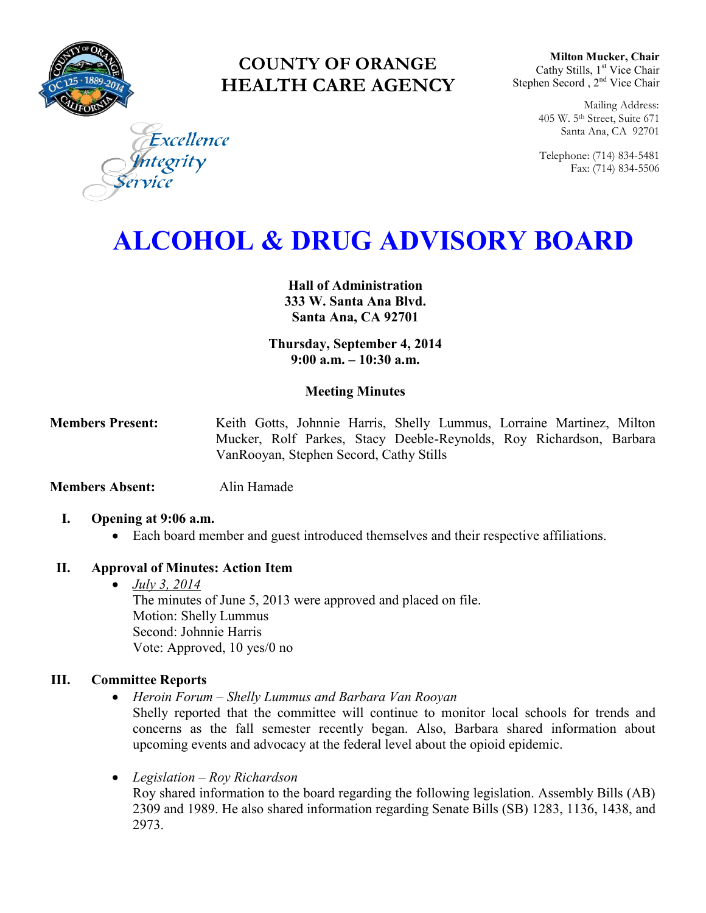

# **COUNTY OF ORANGE HEALTH CARE AGENCY**

**Milton Mucker, Chair** Cathy Stills, 1<sup>st</sup> Vice Chair Stephen Secord, 2<sup>nd</sup> Vice Chair

> Mailing Address: 405 W. 5th Street, Suite 671 Santa Ana, CA 92701

> Telephone: (714) 834-5481 Fax: (714) 834-5506

Excellence egrity

# **ALCOHOL & DRUG ADVISORY BOARD**

**Hall of Administration 333 W. Santa Ana Blvd. Santa Ana, CA 92701**

**Thursday, September 4, 2014 9:00 a.m. – 10:30 a.m.** 

### **Meeting Minutes**

**Members Present:** Keith Gotts, Johnnie Harris, Shelly Lummus, Lorraine Martinez, Milton Mucker, Rolf Parkes, Stacy Deeble-Reynolds, Roy Richardson, Barbara VanRooyan, Stephen Secord, Cathy Stills

**Members Absent:** Alin Hamade

- **I. Opening at 9:06 a.m.** 
	- Each board member and guest introduced themselves and their respective affiliations.

#### **II. Approval of Minutes: Action Item**

 *July 3, 2014* The minutes of June 5, 2013 were approved and placed on file. Motion: Shelly Lummus Second: Johnnie Harris Vote: Approved, 10 yes/0 no

### **III. Committee Reports**

- *Heroin Forum – Shelly Lummus and Barbara Van Rooyan* 
	- Shelly reported that the committee will continue to monitor local schools for trends and concerns as the fall semester recently began. Also, Barbara shared information about upcoming events and advocacy at the federal level about the opioid epidemic.
- *Legislation – Roy Richardson*

Roy shared information to the board regarding the following legislation. Assembly Bills (AB) 2309 and 1989. He also shared information regarding Senate Bills (SB) 1283, 1136, 1438, and 2973.